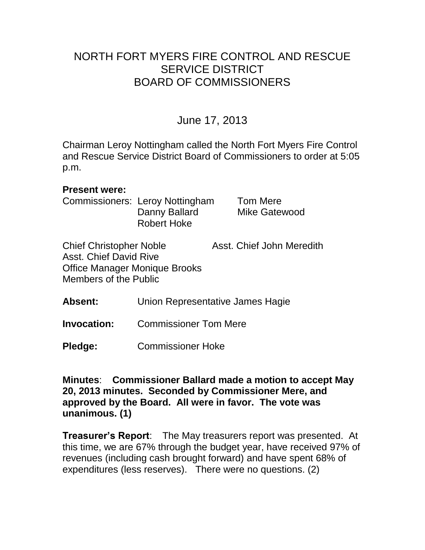# NORTH FORT MYERS FIRE CONTROL AND RESCUE SERVICE DISTRICT BOARD OF COMMISSIONERS

# June 17, 2013

Chairman Leroy Nottingham called the North Fort Myers Fire Control and Rescue Service District Board of Commissioners to order at 5:05 p.m.

#### **Present were:**

Commissioners: Leroy Nottingham Tom Mere Danny Ballard Mike Gatewood Robert Hoke

Chief Christopher Noble Asst. Chief John Meredith Asst. Chief David Rive Office Manager Monique Brooks Members of the Public

**Absent:** Union Representative James Hagie

**Invocation:** Commissioner Tom Mere

**Pledge:** Commissioner Hoke

**Minutes**: **Commissioner Ballard made a motion to accept May 20, 2013 minutes. Seconded by Commissioner Mere, and approved by the Board. All were in favor. The vote was unanimous. (1)** 

**Treasurer's Report**: The May treasurers report was presented. At this time, we are 67% through the budget year, have received 97% of revenues (including cash brought forward) and have spent 68% of expenditures (less reserves). There were no questions. (2)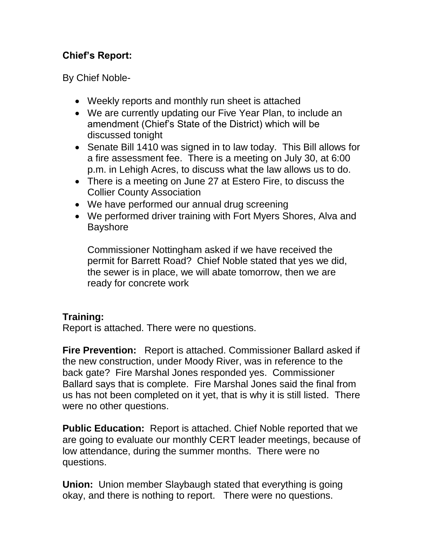# **Chief's Report:**

By Chief Noble-

- Weekly reports and monthly run sheet is attached
- We are currently updating our Five Year Plan, to include an amendment (Chief's State of the District) which will be discussed tonight
- Senate Bill 1410 was signed in to law today. This Bill allows for a fire assessment fee. There is a meeting on July 30, at 6:00 p.m. in Lehigh Acres, to discuss what the law allows us to do.
- There is a meeting on June 27 at Estero Fire, to discuss the Collier County Association
- We have performed our annual drug screening
- We performed driver training with Fort Myers Shores, Alva and Bayshore

Commissioner Nottingham asked if we have received the permit for Barrett Road? Chief Noble stated that yes we did, the sewer is in place, we will abate tomorrow, then we are ready for concrete work

# **Training:**

Report is attached. There were no questions.

**Fire Prevention:** Report is attached. Commissioner Ballard asked if the new construction, under Moody River, was in reference to the back gate? Fire Marshal Jones responded yes. Commissioner Ballard says that is complete. Fire Marshal Jones said the final from us has not been completed on it yet, that is why it is still listed. There were no other questions.

**Public Education:** Report is attached. Chief Noble reported that we are going to evaluate our monthly CERT leader meetings, because of low attendance, during the summer months. There were no questions.

**Union:** Union member Slaybaugh stated that everything is going okay, and there is nothing to report. There were no questions.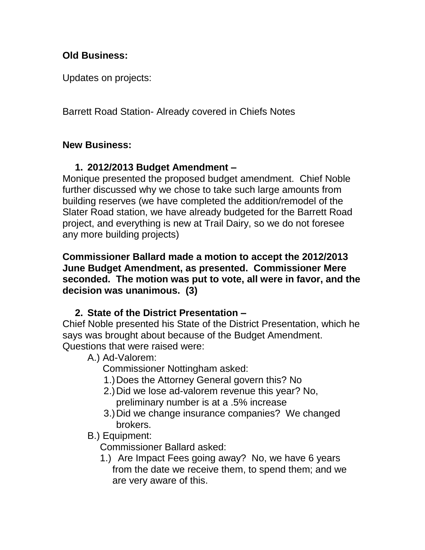## **Old Business:**

Updates on projects:

Barrett Road Station- Already covered in Chiefs Notes

### **New Business:**

# **1. 2012/2013 Budget Amendment –**

Monique presented the proposed budget amendment. Chief Noble further discussed why we chose to take such large amounts from building reserves (we have completed the addition/remodel of the Slater Road station, we have already budgeted for the Barrett Road project, and everything is new at Trail Dairy, so we do not foresee any more building projects)

**Commissioner Ballard made a motion to accept the 2012/2013 June Budget Amendment, as presented. Commissioner Mere seconded. The motion was put to vote, all were in favor, and the decision was unanimous. (3)**

# **2. State of the District Presentation –**

Chief Noble presented his State of the District Presentation, which he says was brought about because of the Budget Amendment. Questions that were raised were:

# A.) Ad-Valorem:

Commissioner Nottingham asked:

- 1.)Does the Attorney General govern this? No
- 2.)Did we lose ad-valorem revenue this year? No, preliminary number is at a .5% increase
- 3.)Did we change insurance companies? We changed brokers.

# B.) Equipment:

Commissioner Ballard asked:

1.) Are Impact Fees going away? No, we have 6 years from the date we receive them, to spend them; and we are very aware of this.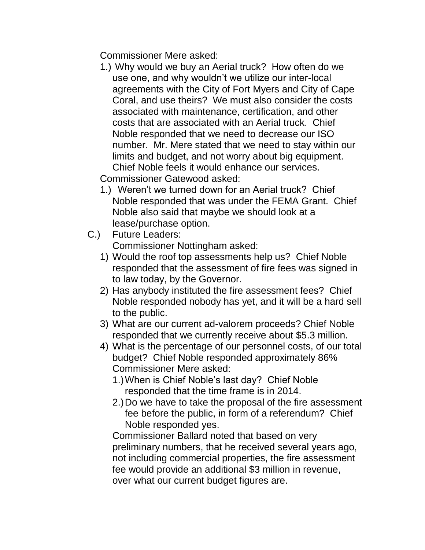Commissioner Mere asked:

1.) Why would we buy an Aerial truck? How often do we use one, and why wouldn't we utilize our inter-local agreements with the City of Fort Myers and City of Cape Coral, and use theirs? We must also consider the costs associated with maintenance, certification, and other costs that are associated with an Aerial truck. Chief Noble responded that we need to decrease our ISO number. Mr. Mere stated that we need to stay within our limits and budget, and not worry about big equipment. Chief Noble feels it would enhance our services.

Commissioner Gatewood asked:

- 1.) Weren't we turned down for an Aerial truck? Chief Noble responded that was under the FEMA Grant. Chief Noble also said that maybe we should look at a lease/purchase option.
- C.) Future Leaders: Commissioner Nottingham asked:
	- 1) Would the roof top assessments help us? Chief Noble responded that the assessment of fire fees was signed in to law today, by the Governor.
	- 2) Has anybody instituted the fire assessment fees? Chief Noble responded nobody has yet, and it will be a hard sell to the public.
	- 3) What are our current ad-valorem proceeds? Chief Noble responded that we currently receive about \$5.3 million.
	- 4) What is the percentage of our personnel costs, of our total budget? Chief Noble responded approximately 86% Commissioner Mere asked:
		- 1.)When is Chief Noble's last day? Chief Noble responded that the time frame is in 2014.
		- 2.)Do we have to take the proposal of the fire assessment fee before the public, in form of a referendum? Chief Noble responded yes.

Commissioner Ballard noted that based on very preliminary numbers, that he received several years ago, not including commercial properties, the fire assessment fee would provide an additional \$3 million in revenue, over what our current budget figures are.